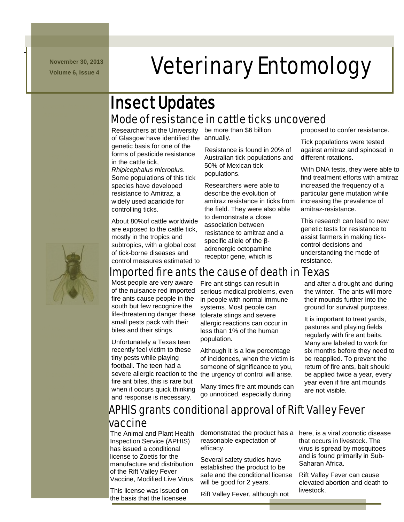**November 30, 2013**

-

# **November 30, 2013 Veterinary Entomology**

# Mode of resistance in cattle ticks uncovered Insect Updates

Researchers at the University be more than \$6 billion of Glasgow have identified the annually. genetic basis for one of the forms of pesticide resistance in the cattle tick, *Rhipicephalus microplus*. Some populations of this tick

species have developed resistance to Amitraz, a widely used acaricide for controlling ticks.

About 80%of cattle worldwide are exposed to the cattle tick, mostly in the tropics and subtropics, with a global cost of tick-borne diseases and control measures estimated to

Resistance is found in 20% of Australian tick populations and 50% of Mexican tick populations.

Researchers were able to describe the evolution of amitraz resistance in ticks from the field. They were also able to demonstrate a close association between resistance to amitraz and a specific allele of the βadrenergic octopamine receptor gene, which is

proposed to confer resistance.

Tick populations were tested against amitraz and spinosad in different rotations.

With DNA tests, they were able to find treatment efforts with amitraz increased the frequency of a particular gene mutation while increasing the prevalence of amitraz-resistance.

This research can lead to new genetic tests for resistance to assist farmers in making tickcontrol decisions and understanding the mode of resistance.



# Imported fire ants the cause of death in Texas

Most people are very aware of the nuisance red imported fire ants cause people in the south but few recognize the life-threatening danger these small pests pack with their bites and their stings.

Unfortunately a Texas teen recently feel victim to these tiny pests while playing football. The teen had a severe allergic reaction to the the urgency of control will arise. fire ant bites, this is rare but when it occurs quick thinking and response is necessary.

Fire ant stings can result in serious medical problems, even in people with normal immune systems. Most people can tolerate stings and severe allergic reactions can occur in less than 1% of the human population.

Although it is a low percentage of incidences, when the victim is someone of significance to you,

Many times fire ant mounds can go unnoticed, especially during

and after a drought and during the winter. The ants will more their mounds further into the ground for survival purposes.

It is important to treat yards, pastures and playing fields regularly with fire ant baits. Many are labeled to work for six months before they need to be reapplied. To prevent the return of fire ants, bait should be applied twice a year, every year even if fire ant mounds are not visible.

## APHIS grants conditional approval of Rift Valley Fever vaccine

The Animal and Plant Health Inspection Service (APHIS) has issued a conditional license to Zoetis for the manufacture and distribution of the Rift Valley Fever Vaccine, Modified Live Virus.

This license was issued on the basis that the licensee

demonstrated the product has a reasonable expectation of efficacy.

Several safety studies have established the product to be safe and the conditional license will be good for 2 years.

Rift Valley Fever, although not

here, is a viral zoonotic disease that occurs in livestock. The virus is spread by mosquitoes and is found primarily in Sub-Saharan Africa.

Rift Valley Fever can cause elevated abortion and death to livestock.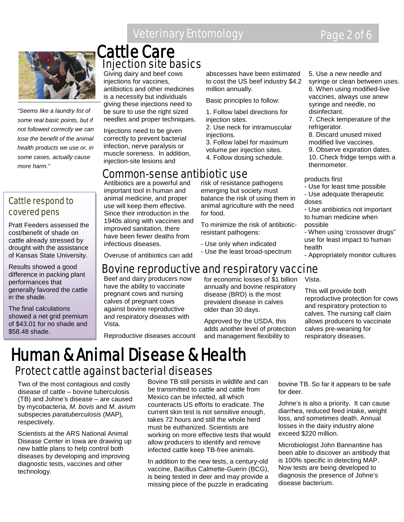# Veterinary Entomology **Page 2 of 6**



*"Seems like a laundry list of some real basic points, but if not followed correctly we can lose the benefit of the animal health products we use or, in some cases, actually cause more harm."*

### Cattle respond to covered pens

Pratt Feeders assessed the cost/benefit of shade on cattle already stressed by drought with the assistance of Kansas State University.

Results showed a good difference in packing plant performances that generally favored the cattle in the shade.

The final calculations showed a net grid premium of \$43.01 for no shade and \$58.48 shade.

# Injection site basics Cattle Care

Giving dairy and beef cows injections for vaccines, antibiotics and other medicines is a necessity but individuals giving these injections need to be sure to use the right sized needles and proper techniques.

Injections need to be given correctly to prevent bacterial infection, nerve paralysis or muscle soreness. In addition, injection-site lesions and

### Common-sense antibiotic use

Antibiotics are a powerful and important tool in human and animal medicine, and proper use will keep them effective. Since their introduction in the 1940s along with vaccines and improved sanitation, there have been fewer deaths from infectious diseases.

abscesses have been estimated to cost the US beef industry \$4.2 million annually.

Basic principles to follow:

1. Follow label directions for injection sites. 2. Use neck for intramuscular

injections. 3. Follow label for maximum

volume per injection sites. 4. Follow dosing schedule.

risk of resistance pathogens emerging but society must balance the risk of using them in animal agriculture with the need for food.

To minimize the risk of antibioticresistant pathogens:

- Use only when indicated
- Use the least broad-spectrum

5. Use a new needle and syringe or clean between uses. 6. When using modified-live vaccines, always use anew syringe and needle, no disinfectant. 7. Check temperature of the

refrigerator. 8. Discard unused mixed modified live vaccines.

9. Observe expiration dates. 10. Check fridge temps with a thermometer.

products first

- Use for least time possible
- Use adequate therapeutic doses

- Use antibiotics not important to human medicine when possible

- When using 'crossover drugs" use for least impact to human health

- Appropriately monitor cultures

Overuse of antibiotics can add

# Bovine reproductive and respiratory vaccine

Beef and dairy producers now have the ability to vaccinate pregnant cows and nursing calves of pregnant cows against bovine reproductive and respiratory diseases with Vista.

Reproductive diseases account

for economic losses of  $\bar{S}$ 1 billion annually and bovine respiratory disease (BRD) is the most prevalent disease in calves older than 30 days.

Approved by the USDA, this adds another level of protection and management flexibility to

Vista.

This will provide both reproductive protection for cows and respiratory protection to calves. The nursing calf claim allows producers to vaccinate calves pre-weaning for respiratory diseases.

# Human & Animal Disease & Health Protect cattle against bacterial diseases

Two of the most contagious and costly disease of cattle – bovine tuberculosis (TB) and Johne's disease – are caused by mycobacteria, *M. bovis* and *M. avium*  subspecies *paratuberculosis* (MAP)*,* respectively.

Scientists at the ARS National Animal Disease Center in Iowa are drawing up new battle plans to help control both diseases by developing and improving diagnostic tests, vaccines and other technology.

Bovine TB still persists in wildlife and can be transmitted to cattle and cattle from Mexico can be infected, all which counteracts US efforts to eradicate. The current skin test is not sensitive enough, takes 72 hours and still the whole herd must be euthanized. Scientists are working on more effective tests that would allow producers to identify and remove infected cattle keep TB-free animals.

In addition to the new tests, a century-old vaccine, Bacillus Calmette-Guerin (BCG), is being tested in deer and may provide a missing piece of the puzzle in eradicating

bovine TB. So far it appears to be safe for deer.

Johne's is also a priority. It can cause diarrhea, reduced feed intake, weight loss, and sometimes death. Annual losses in the dairy industry alone exceed \$220 million.

Microbiologist John Bannantine has been able to discover an antibody that is 100% specific in detecting MAP. Now tests are being developed to diagnosis the presence of Johne's disease bacterium.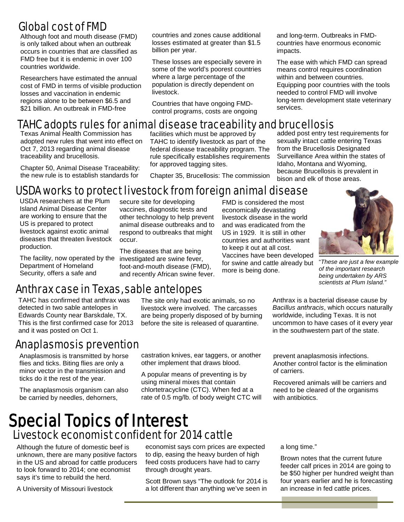# Global cost of FMD

Although foot and mouth disease (FMD) is only talked about when an outbreak occurs in countries that are classified as FMD free but it is endemic in over 100 countries worldwide.

Researchers have estimated the annual cost of FMD in terms of visible production losses and vaccination in endemic regions alone to be between \$6.5 and \$21 billion. An outbreak in FMD-free

countries and zones cause additional losses estimated at greater than \$1.5 billion per year.

These losses are especially severe in some of the world's poorest countries where a large percentage of the population is directly dependent on livestock.

Countries that have ongoing FMDcontrol programs, costs are ongoing and long-term. Outbreaks in FMDcountries have enormous economic impacts.

The ease with which FMD can spread means control requires coordination within and between countries. Equipping poor countries with the tools needed to control FMD will involve long-term development state veterinary services.

# TAHC adopts rules for animal disease traceability and brucellosis

Texas Animal Health Commission has adopted new rules that went into effect on Oct 7, 2013 regarding animal disease traceability and brucellosis.

Chapter 50, Animal Disease Traceability: the new rule is to establish standards for

facilities which must be approved by TAHC to identify livestock as part of the federal disease traceability program. The rule specifically establishes requirements for approved tagging sites.

Chapter 35, Brucellosis: The commission

economically devastating livestock disease in the world and was eradicated from the US in 1929. It is still in other countries and authorities want to keep it out at all cost.

added post entry test requirements for sexually intact cattle entering Texas from the Brucellosis Designated Surveillance Area within the states of Idaho, Montana and Wyoming, because Brucellosis is prevalent in bison and elk of those areas.

#### FMD is considered the most USDA works to protect livestock from foreign animal disease secure site for developing

vaccines, diagnostic tests and other technology to help prevent animal disease outbreaks and to respond to outbreaks that might

The diseases that are being

foot-and-mouth disease (FMD), and recently African swine fever.

USDA researchers at the Plum Island Animal Disease Center are working to ensure that the US is prepared to protect livestock against exotic animal diseases that threaten livestock production.

The facility, now operated by the investigated are swine fever, Department of Homeland Security, offers a safe and

Anthrax case in Texas, sable antelopes

occur.

TAHC has confirmed that anthrax was detected in two sable antelopes in Edwards County near Barskdale, TX. This is the first confirmed case for 2013 and it was posted on Oct 1.

## Anaplasmosis prevention

Anaplasmosis is transmitted by horse flies and ticks. Biting flies are only a minor vector in the transmission and ticks do it the rest of the year.

The anaplasmosis organism can also be carried by needles, dehorners,

The site only had exotic animals, so no livestock were involved. The carcasses are being properly disposed of by burning before the site is released of quarantine.

castration knives, ear taggers, or another other implement that draws blood.

A popular means of preventing is by using mineral mixes that contain chlortetracycline (CTC). When fed at a rate of 0.5 mg/lb. of body weight CTC will

Vaccines have been developed vaccines have been developed<br>for swine and cattle already but more is being done. i "*These are just a few example of the important research being undertaken by ARS scientists at Plum Island."* Anthrax is a bacterial disease cause by

 $\overline{\phantom{a}}$ 

*Bacillus anthracis*, which occurs naturally worldwide, including Texas. It is not uncommon to have cases of it every year in the southwestern part of the state.

prevent anaplasmosis infections. Another control factor is the elimination of carriers.

Recovered animals will be carriers and need to be cleared of the organisms with antibiotics.

# Special Topics of Interest Livestock economist confident for 2014 cattle

Although the future of domestic beef is unknown, there are many positive factors in the US and abroad for cattle producers to look forward to 2014; one economist says it's time to rebuild the herd.

A University of Missouri livestock

economist says corn prices are expected to dip, easing the heavy burden of high feed costs producers have had to carry through drought years.

Scott Brown says "The outlook for 2014 is a lot different than anything we've seen in

a long time."

Brown notes that the current future feeder calf prices in 2014 are going to be \$50 higher per hundred weight than four years earlier and he is forecasting an increase in fed cattle prices.

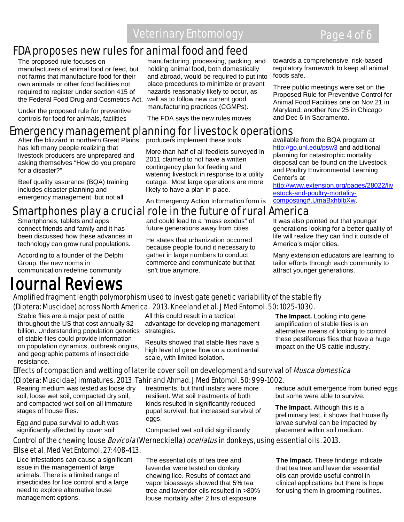# Veterinary Entomology **Page 4 of 6**

# FDA proposes new rules for animal food and feed

The proposed rule focuses on manufacturers of animal food or feed, but not farms that manufacture food for their own animals or other food facilities not required to register under section 415 of the Federal Food Drug and Cosmetics Act. well as to follow new current good

Under the proposed rule for preventive controls for food for animals, facilities

manufacturing, processing, packing, and holding animal food, both domestically and abroad, would be required to put into place procedures to minimize or prevent hazards reasonably likely to occur, as manufacturing practices (CGMPs).

The FDA says the new rules moves

### towards a comprehensive, risk-based regulatory framework to keep all animal foods safe.

Three public meetings were set on the Proposed Rule for Preventive Control for Animal Food Facilities one on Nov 21 in Maryland, another Nov 25 in Chicago and Dec 6 in Sacramento.

# **Emergency management planning for livestock operations**<br>After the blizzard in northern Great Plains producers implement these tools. available from the BQA program at

After the blizzard in northern Great Plains has left many people realizing that livestock producers are unprepared and asking themselves "How do you prepare for a disaster?"

Beef quality assurance (BQA) training includes disaster planning and emergency management, but not all

producers implement these tools. More than half of all feedlots surveyed in 2011 claimed to not have a written contingency plan for feeding and watering livestock in response to a utility

outage. Most large operations are more

likely to have a plan in place.

An Emergency Action Information form is

<http://go.unl.edu/psw3> and additional planning for catastrophic mortality disposal can be found on the Livestock and Poultry Environmental Learning Center's at

[http://www.extension.org/pages/28022/liv](http://www.extension.org/pages/28022/livestock-and-poultry-mortality-composting%23.UmaBxhblbXw) [estock-and-poultry-mortality](http://www.extension.org/pages/28022/livestock-and-poultry-mortality-composting%23.UmaBxhblbXw)[composting#.UmaBxhblbXw.](http://www.extension.org/pages/28022/livestock-and-poultry-mortality-composting%23.UmaBxhblbXw)

# Smartphones play a crucial role in the future of rural America

Smartphones, tablets and apps connect friends and family and it has been discussed how these advances in technology can grow rural populations.

According to a founder of the Delphi Group, the new norms in communication redefine community

# Journal Reviews

and could lead to a "mass exodus" of future generations away from cities.

He states that urbanization occurred because people found it necessary to gather in large numbers to conduct commerce and communicate but that isn't true anymore.

It was also pointed out that younger generations looking for a better quality of life will realize they can find it outside of America's major cities.

Many extension educators are learning to tailor efforts through each community to attract younger generations.

### Amplified fragment length polymorphism used to investigate genetic variability of the stable fly (Diptera: Muscidae) across North America. 2013. Kneeland et al. J Med Entomol. 50: 1025-1030.

Stable flies are a major pest of cattle throughout the US that cost annually \$2 billion. Understanding population genetics of stable flies could provide information on population dynamics, outbreak origins, and geographic patterns of insecticide resistance.

All this could result in a tactical advantage for developing management strategies.

Results showed that stable flies have a high level of gene flow on a continental scale, with limited isolation.

**The Impact.** Looking into gene amplification of stable flies is an alternative means of looking to control these pestiferous flies that have a huge impact on the US cattle industry.

### Effects of compaction and wetting of laterite cover soil on development and survival of *Musca domestica* (Diptera: Muscidae) immatures. 2013. Tahir and Ahmad. J Med Entomol. 50: 999-1002.

Rearing medium was tested as loose dry soil, loose wet soil, compacted dry soil, and compacted wet soil on all immature stages of house flies.

Egg and pupa survival to adult was significantly affected by cover soil

treatments, but third instars were more resilient. Wet soil treatments of both kinds resulted in significantly reduced pupal survival, but increased survival of eggs.

Compacted wet soil did significantly

reduce adult emergence from buried eggs but some were able to survive.

**The Impact.** Although this is a preliminary test, it shows that house fly larvae survival can be impacted by placement within soil medium.

### Control of the chewing louse *Bovicola* (Werneckiella) ocellatus in donkeys, using essential oils. 2013. Ellse et al. Med Vet Entomol. 27: 408-413.

Lice infestations can cause a significant issue in the management of large animals. There is a limited range of insecticides for lice control and a large need to explore alternative louse management options.

The essential oils of tea tree and lavender were tested on donkey chewing lice. Results of contact and vapor bioassays showed that 5% tea tree and lavender oils resulted in >80% louse mortality after 2 hrs of exposure.

**The Impact.** These findings indicate that tea tree and lavender essential oils can provide useful control in clinical applications but there is hope for using them in grooming routines.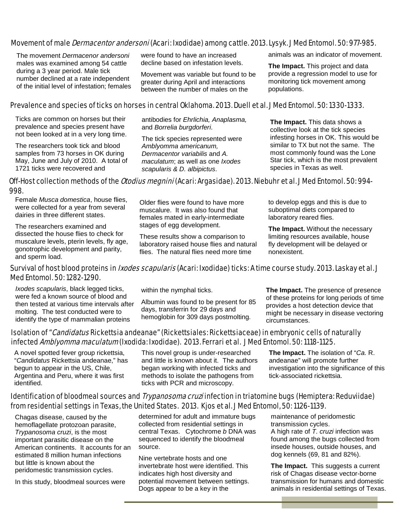### Movement of male *Dermacentor andersoni* (Acari: Ixodidae) among cattle. 2013. Lysyk. J Med Entomol. 50: 977-985.

 The movement *Dermacenor andersoni* males was examined among 54 cattle during a 3 year period. Male tick number declined at a rate independent of the initial level of infestation; females were found to have an increased decline based on infestation levels.

Movement was variable but found to be greater during April and interactions between the number of males on the

animals was an indicator of movement.

**The Impact.** This project and data provide a regression model to use for monitoring tick movement among populations.

### Prevalence and species of ticks on horses in central Oklahoma. 2013. Duell et al. J Med Entomol. 50: 1330-1333.

Ticks are common on horses but their prevalence and species present have not been looked at in a very long time.

The researchers took tick and blood samples from 73 horses in OK during May, June and July of 2010. A total of 1721 ticks were recovered and

antibodies for *Ehrlichia, Anaplasma,*  and *Borrelia burgdorferi*.

The tick species represented were *Amblyomma americanum, Dermacentor variabilis* and *A. maculatum*; as well as one *Ixodes scapularis & D. albipictus*.

**The Impact.** This data shows a collective look at the tick species infesting horses in OK. This would be similar to TX but not the same. The most commonly found was the Lone Star tick, which is the most prevalent species in Texas as well.

### Off-Host collection methods of the *Otodius megnini* (Acari: Argasidae). 2013. Niebuhr et al. J Med Entomol. 50: 994-998.

Female *Musca domestica*, house flies, were collected for a year from several dairies in three different states.

The researchers examined and dissected the house flies to check for muscalure levels, pterin levels, fly age, gonotrophic development and parity, and sperm load.

Older flies were found to have more muscalure. It was also found that females mated in early-intermediate stages of egg development.

These results show a comparison to laboratory raised house flies and natural flies. The natural flies need more time

to develop eggs and this is due to suboptimal diets compared to laboratory reared flies.

**The Impact.** Without the necessary limiting resources available, house fly development will be delayed or nonexistent.

### Survival of host blood proteins in *Ixodes scapularis* (Acari: Ixodidae) ticks: A time course study. 2013. Laskay et al. J Med Entomol. 50: 1282-1290.

*Ixodes scapularis*, black legged ticks, were fed a known source of blood and then tested at various time intervals after molting. The test conducted were to identify the type of mammalian proteins

within the nymphal ticks.

Albumin was found to be present for 85 days, transferrin for 29 days and hemoglobin for 309 days postmolting.

**The Impact.** The presence of presence of these proteins for long periods of time provides a host detection device that might be necessary in disease vectoring circumstances.

### Isolation of "*Candidatus* Rickettsia andeanae" (Rickettsiales: Rickettsiaceae) in embryonic cells of naturally infected Amblyomma maculatum (Ixodida: Ixodidae). 2013. Ferrari et al. J Med Entomol. 50: 1118-1125.

A novel spotted fever group rickettsia, "*Candidatus* Rickettsia andeanae," has begun to appear in the US, Chile, Argentina and Peru, where it was first identified.

This novel group is under-researched and little is known about it. The authors began working with infected ticks and methods to isolate the pathogens from ticks with PCR and microscopy.

**The Impact.** The isolation of "*Ca.* R. andeanae" will promote further investigation into the significance of this tick-associated rickettsia.

### Identification of bloodmeal sources and *Trypanosoma cruzi* infection in triatomine bugs (Hemiptera: Reduviidae) from residential settings in Texas, the United States. 2013. Kjos et al. J Med Entomol, 50: 1126-1139.

 Chagas disease, caused by the hemoflagellate protozoan parasite, *Trypanosoma cruzi*, is the most important parasitic disease on the American continents. It accounts for an estimated 8 million human infections but little is known about the peridomestic transmission cycles.

In this study, bloodmeal sources were

determined for adult and immature bugs collected from residential settings in central Texas. Cytochrome *b* DNA was sequenced to identify the bloodmeal source.

Nine vertebrate hosts and one invertebrate host were identified. This indicates high host diversity and potential movement between settings. Dogs appear to be a key in the

maintenance of peridomestic transmission cycles. A high rate of *T. cruzi* infection was found among the bugs collected from insede houses, outside houses, and dog kennels (69, 81 and 82%).

**The Impact.** This suggests a current risk of Chagas disease vector-borne transmission for humans and domestic animals in residential settings of Texas.